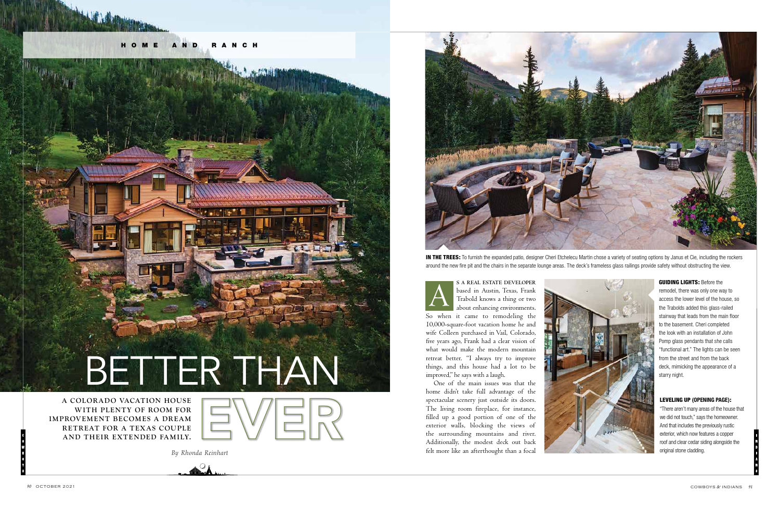# **A COLOR ADO VACAT ION HOUSE**  From the street better. "I always try to improve<br>things, and this house had a lot to be<br>One of the main issues was that the street starry night.



**WITH PLENTY OF ROOM FOR IMPROVEMENT BECOMES A DREAM RETREAT FOR A TEXAS COUPLE**

"There aren't many areas of the house that we did not touch," says the homeowner. And that includes the previously rustic exterior, which now features a copper roof and clear cedar siding alongside the original stone cladding.

IN THE TREES: To furnish the expanded patio, designer Cheri Etchelecu Martin chose a variety of seating options by Janus et Cie, including the rockers around the new fire pit and the chairs in the separate lounge areas. The deck's frameless glass railings provide safety without obstructing the view.

> **GUIDING LIGHTS: Before the** remodel, there was only one way to access the lower level of the house, so the Trabolds added this glass-railed stairway that leads from the main floor to the basement. Cheri completed the look with an installation of John Pomp glass pendants that she calls "functional art." The lights can be seen from the street and from the back deck, mimicking the appearance of a

*By Rhonda Reinhart*



**AND THEIR EXTENDED FAMILY.**<br>
Bushing the stretion walls, blocking the risk and fireplace, for instance,<br> **AND THEIR EXTENDED FAMILY.**<br>
Bushing the stretion walls, blocking the view of the stretion walls, blocking the view One of the main issues was that the home didn't take full advantage of the spectacular scenery just outside its doors. The living room fireplace, for instance, filled up a good portion of one of the exterior walls, blocking the views of the surrounding mountains and river. Additionally, the modest deck out back felt more like an afterthought than a focal







based in Austin, Texas, Frank Trabold knows a thing or two about enhancing environments. So when it came to remodeling the 10,000-square-foot vacation home he and wife Colleen purchased in Vail, Colorado, five years ago, Frank had a clear vision of what would make the modern mountain retreat better. "I always try to improve things, and this house had a lot to be improved," he says with a laugh.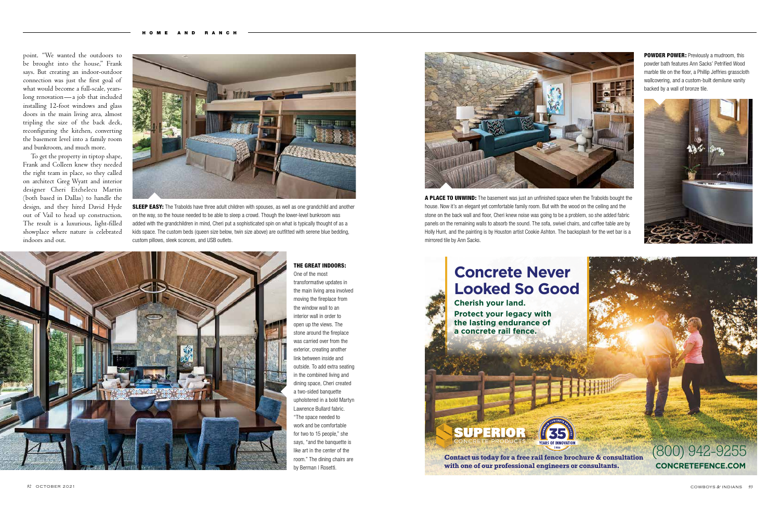**SLEEP EASY:** The Trabolds have three adult children with spouses, as well as one grandchild and another on the way, so the house needed to be able to sleep a crowd. Though the lower-level bunkroom was added with the grandchildren in mind, Cheri put a sophisticated spin on what is typically thought of as a kids space. The custom beds (queen size below, twin size above) are outfitted with serene blue bedding, custom pillows, sleek sconces, and USB outlets.





## **Concrete Never Looked So Good**

One of the most transformative updates in the main living area involved moving the fireplace from the window wall to an interior wall in order to open up the views. The stone around the fireplace was carried over from the exterior, creating another link between inside and outside. To add extra seating in the combined living and dining space, Cheri created a two-sided banquette upholstered in a bold Martyn Lawrence Bullard fabric. "The space needed to work and be comfortable for two to 15 people," she says, "and the banquette is like art in the center of the room." The dining chairs are by Berman | Rosetti.



point. "We wanted the outdoors to be brought into the house," Frank says. But creating an indoor-outdoor connection was just the first goal of what would become a full-scale, yearslong renovation—a job that included installing 12-foot windows and glass doors in the main living area, almost tripling the size of the back deck, reconfiguring the kitchen, converting the basement level into a family room and bunkroom, and much more.

To get the property in tiptop shape, Frank and Colleen knew they needed the right team in place, so they called on architect Greg Wyatt and interior designer Cheri Etchelecu Martin (both based in Dallas) to handle the design, and they hired David Hyde out of Vail to head up construction. The result is a luxurious, light-filled showplace where nature is celebrated indoors and out.



POWDER POWER: Previously a mudroom, this powder bath features Ann Sacks' Petrified Wood marble tile on the floor, a Phillip Jeffries grasscloth wallcovering, and a custom-built demilune vanity backed by a wall of bronze tile.



### THE GREAT INDOORS:

A PLACE TO UNWIND: The basement was just an unfinished space when the Trabolds bought the house. Now it's an elegant yet comfortable family room. But with the wood on the ceiling and the stone on the back wall and floor, Cheri knew noise was going to be a problem, so she added fabric panels on the remaining walls to absorb the sound. The sofa, swivel chairs, and coffee table are by Holly Hunt, and the painting is by Houston artist Cookie Ashton. The backsplash for the wet bar is a mirrored tile by Ann Sacks.